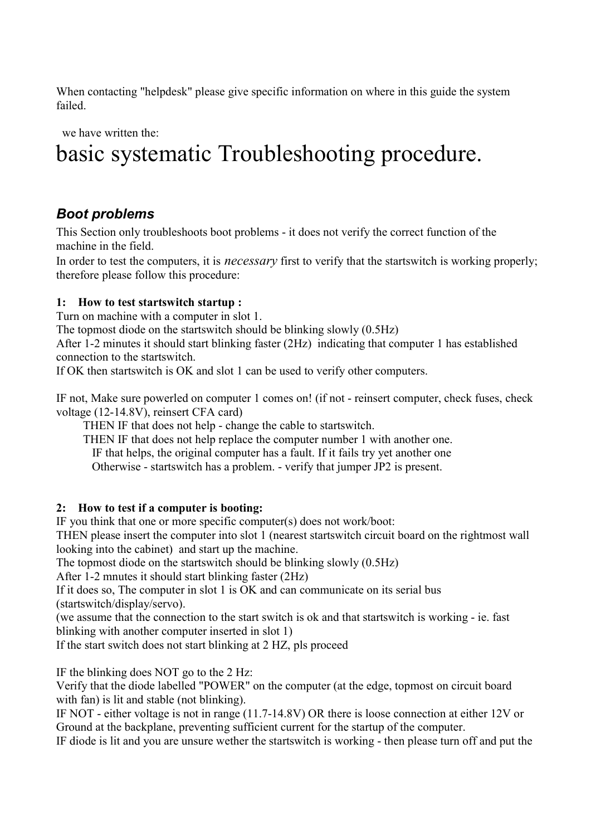When contacting "helpdesk" please give specific information on where in this guide the system failed.

we have written the:

# basic systematic Troubleshooting procedure.

# Boot problems

This Section only troubleshoots boot problems - it does not verify the correct function of the machine in the field.

In order to test the computers, it is *necessary* first to verify that the startswitch is working properly; therefore please follow this procedure:

#### 1: How to test startswitch startup :

Turn on machine with a computer in slot 1.

The topmost diode on the startswitch should be blinking slowly (0.5Hz)

After 1-2 minutes it should start blinking faster (2Hz) indicating that computer 1 has established connection to the startswitch.

If OK then startswitch is OK and slot 1 can be used to verify other computers.

IF not, Make sure powerled on computer 1 comes on! (if not - reinsert computer, check fuses, check voltage (12-14.8V), reinsert CFA card)

THEN IF that does not help - change the cable to startswitch.

THEN IF that does not help replace the computer number 1 with another one.

IF that helps, the original computer has a fault. If it fails try yet another one

Otherwise - startswitch has a problem. - verify that jumper JP2 is present.

#### 2: How to test if a computer is booting:

IF you think that one or more specific computer(s) does not work/boot:

THEN please insert the computer into slot 1 (nearest startswitch circuit board on the rightmost wall looking into the cabinet) and start up the machine.

The topmost diode on the startswitch should be blinking slowly (0.5Hz)

After 1-2 mnutes it should start blinking faster (2Hz)

If it does so, The computer in slot 1 is OK and can communicate on its serial bus (startswitch/display/servo).

(we assume that the connection to the start switch is ok and that startswitch is working - ie. fast blinking with another computer inserted in slot 1)

If the start switch does not start blinking at 2 HZ, pls proceed

IF the blinking does NOT go to the 2 Hz:

Verify that the diode labelled "POWER" on the computer (at the edge, topmost on circuit board with fan) is lit and stable (not blinking).

IF NOT - either voltage is not in range (11.7-14.8V) OR there is loose connection at either 12V or Ground at the backplane, preventing sufficient current for the startup of the computer.

IF diode is lit and you are unsure wether the startswitch is working - then please turn off and put the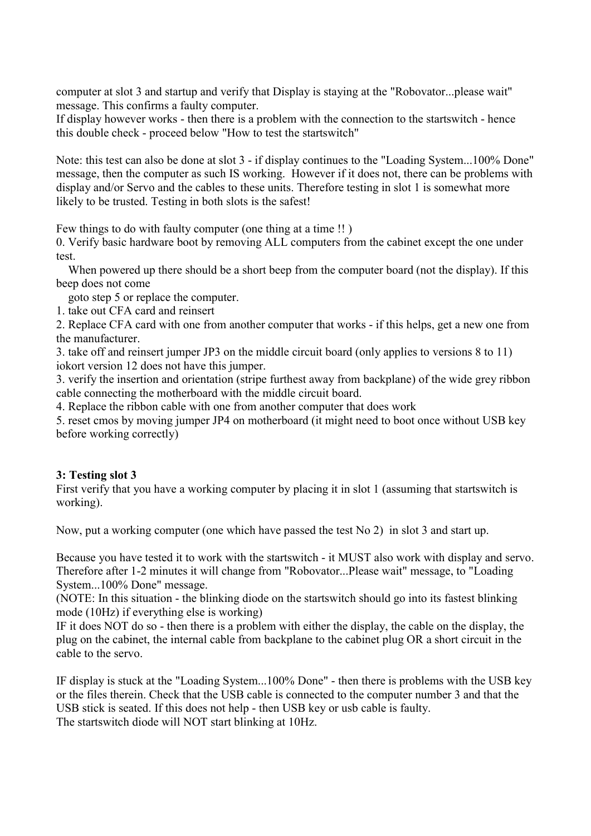computer at slot 3 and startup and verify that Display is staying at the "Robovator...please wait" message. This confirms a faulty computer.

If display however works - then there is a problem with the connection to the startswitch - hence this double check - proceed below "How to test the startswitch"

Note: this test can also be done at slot 3 - if display continues to the "Loading System...100% Done" message, then the computer as such IS working. However if it does not, there can be problems with display and/or Servo and the cables to these units. Therefore testing in slot 1 is somewhat more likely to be trusted. Testing in both slots is the safest!

Few things to do with faulty computer (one thing at a time !! )

0. Verify basic hardware boot by removing ALL computers from the cabinet except the one under test.

 When powered up there should be a short beep from the computer board (not the display). If this beep does not come

goto step 5 or replace the computer.

1. take out CFA card and reinsert

2. Replace CFA card with one from another computer that works - if this helps, get a new one from the manufacturer.

3. take off and reinsert jumper JP3 on the middle circuit board (only applies to versions 8 to 11) iokort version 12 does not have this jumper.

3. verify the insertion and orientation (stripe furthest away from backplane) of the wide grey ribbon cable connecting the motherboard with the middle circuit board.

4. Replace the ribbon cable with one from another computer that does work

5. reset cmos by moving jumper JP4 on motherboard (it might need to boot once without USB key before working correctly)

#### 3: Testing slot 3

First verify that you have a working computer by placing it in slot 1 (assuming that startswitch is working).

Now, put a working computer (one which have passed the test No 2) in slot 3 and start up.

Because you have tested it to work with the startswitch - it MUST also work with display and servo. Therefore after 1-2 minutes it will change from "Robovator...Please wait" message, to "Loading System...100% Done" message.

(NOTE: In this situation - the blinking diode on the startswitch should go into its fastest blinking mode (10Hz) if everything else is working)

IF it does NOT do so - then there is a problem with either the display, the cable on the display, the plug on the cabinet, the internal cable from backplane to the cabinet plug OR a short circuit in the cable to the servo.

IF display is stuck at the "Loading System...100% Done" - then there is problems with the USB key or the files therein. Check that the USB cable is connected to the computer number 3 and that the USB stick is seated. If this does not help - then USB key or usb cable is faulty. The startswitch diode will NOT start blinking at 10Hz.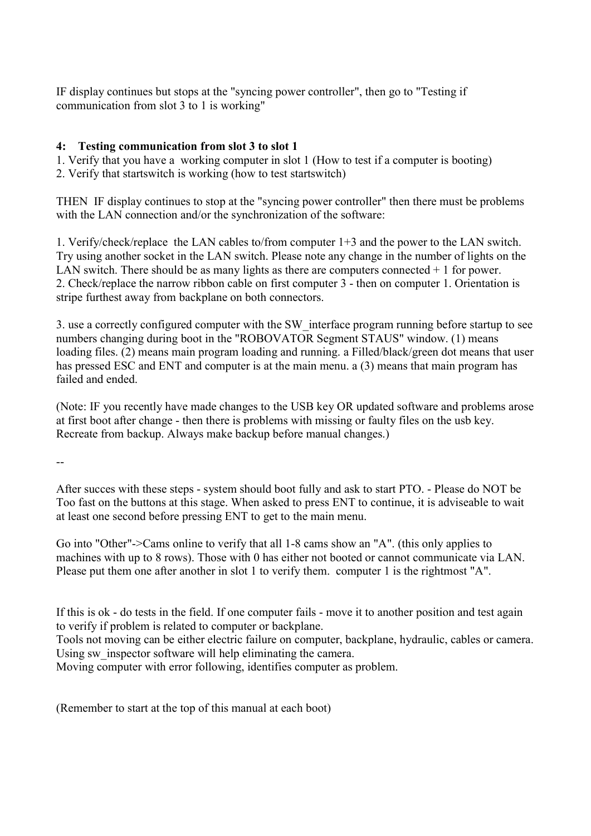IF display continues but stops at the "syncing power controller", then go to "Testing if communication from slot 3 to 1 is working"

#### 4: Testing communication from slot 3 to slot 1

1. Verify that you have a working computer in slot 1 (How to test if a computer is booting)

2. Verify that startswitch is working (how to test startswitch)

THEN IF display continues to stop at the "syncing power controller" then there must be problems with the LAN connection and/or the synchronization of the software:

1. Verify/check/replace the LAN cables to/from computer 1+3 and the power to the LAN switch. Try using another socket in the LAN switch. Please note any change in the number of lights on the LAN switch. There should be as many lights as there are computers connected  $+1$  for power. 2. Check/replace the narrow ribbon cable on first computer 3 - then on computer 1. Orientation is stripe furthest away from backplane on both connectors.

3. use a correctly configured computer with the SW\_interface program running before startup to see numbers changing during boot in the "ROBOVATOR Segment STAUS" window. (1) means loading files. (2) means main program loading and running. a Filled/black/green dot means that user has pressed ESC and ENT and computer is at the main menu. a (3) means that main program has failed and ended.

(Note: IF you recently have made changes to the USB key OR updated software and problems arose at first boot after change - then there is problems with missing or faulty files on the usb key. Recreate from backup. Always make backup before manual changes.)

--

After succes with these steps - system should boot fully and ask to start PTO. - Please do NOT be Too fast on the buttons at this stage. When asked to press ENT to continue, it is adviseable to wait at least one second before pressing ENT to get to the main menu.

Go into "Other"->Cams online to verify that all 1-8 cams show an "A". (this only applies to machines with up to 8 rows). Those with 0 has either not booted or cannot communicate via LAN. Please put them one after another in slot 1 to verify them. computer 1 is the rightmost "A".

If this is ok - do tests in the field. If one computer fails - move it to another position and test again to verify if problem is related to computer or backplane.

Tools not moving can be either electric failure on computer, backplane, hydraulic, cables or camera. Using sw inspector software will help eliminating the camera.

Moving computer with error following, identifies computer as problem.

(Remember to start at the top of this manual at each boot)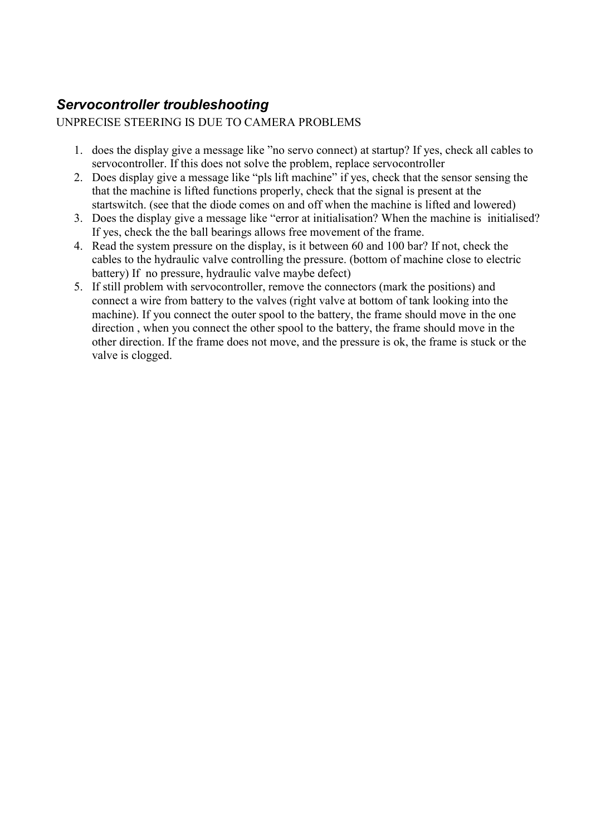# Servocontroller troubleshooting

#### UNPRECISE STEERING IS DUE TO CAMERA PROBLEMS

- 1. does the display give a message like "no servo connect) at startup? If yes, check all cables to servocontroller. If this does not solve the problem, replace servocontroller
- 2. Does display give a message like "pls lift machine" if yes, check that the sensor sensing the that the machine is lifted functions properly, check that the signal is present at the startswitch. (see that the diode comes on and off when the machine is lifted and lowered)
- 3. Does the display give a message like "error at initialisation? When the machine is initialised? If yes, check the the ball bearings allows free movement of the frame.
- 4. Read the system pressure on the display, is it between 60 and 100 bar? If not, check the cables to the hydraulic valve controlling the pressure. (bottom of machine close to electric battery) If no pressure, hydraulic valve maybe defect)
- 5. If still problem with servocontroller, remove the connectors (mark the positions) and connect a wire from battery to the valves (right valve at bottom of tank looking into the machine). If you connect the outer spool to the battery, the frame should move in the one direction , when you connect the other spool to the battery, the frame should move in the other direction. If the frame does not move, and the pressure is ok, the frame is stuck or the valve is clogged.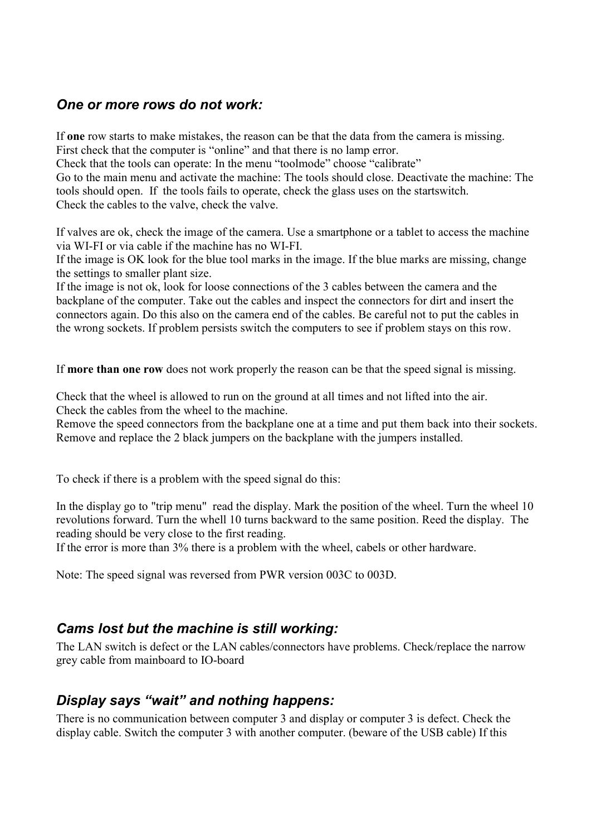## One or more rows do not work:

If one row starts to make mistakes, the reason can be that the data from the camera is missing.

First check that the computer is "online" and that there is no lamp error.

Check that the tools can operate: In the menu "toolmode" choose "calibrate"

Go to the main menu and activate the machine: The tools should close. Deactivate the machine: The tools should open. If the tools fails to operate, check the glass uses on the startswitch. Check the cables to the valve, check the valve.

If valves are ok, check the image of the camera. Use a smartphone or a tablet to access the machine via WI-FI or via cable if the machine has no WI-FI.

If the image is OK look for the blue tool marks in the image. If the blue marks are missing, change the settings to smaller plant size.

If the image is not ok, look for loose connections of the 3 cables between the camera and the backplane of the computer. Take out the cables and inspect the connectors for dirt and insert the connectors again. Do this also on the camera end of the cables. Be careful not to put the cables in the wrong sockets. If problem persists switch the computers to see if problem stays on this row.

If more than one row does not work properly the reason can be that the speed signal is missing.

Check that the wheel is allowed to run on the ground at all times and not lifted into the air. Check the cables from the wheel to the machine.

Remove the speed connectors from the backplane one at a time and put them back into their sockets. Remove and replace the 2 black jumpers on the backplane with the jumpers installed.

To check if there is a problem with the speed signal do this:

In the display go to "trip menu" read the display. Mark the position of the wheel. Turn the wheel 10 revolutions forward. Turn the whell 10 turns backward to the same position. Reed the display. The reading should be very close to the first reading.

If the error is more than 3% there is a problem with the wheel, cabels or other hardware.

Note: The speed signal was reversed from PWR version 003C to 003D.

### Cams lost but the machine is still working:

The LAN switch is defect or the LAN cables/connectors have problems. Check/replace the narrow grey cable from mainboard to IO-board

## Display says "wait" and nothing happens:

There is no communication between computer 3 and display or computer 3 is defect. Check the display cable. Switch the computer 3 with another computer. (beware of the USB cable) If this